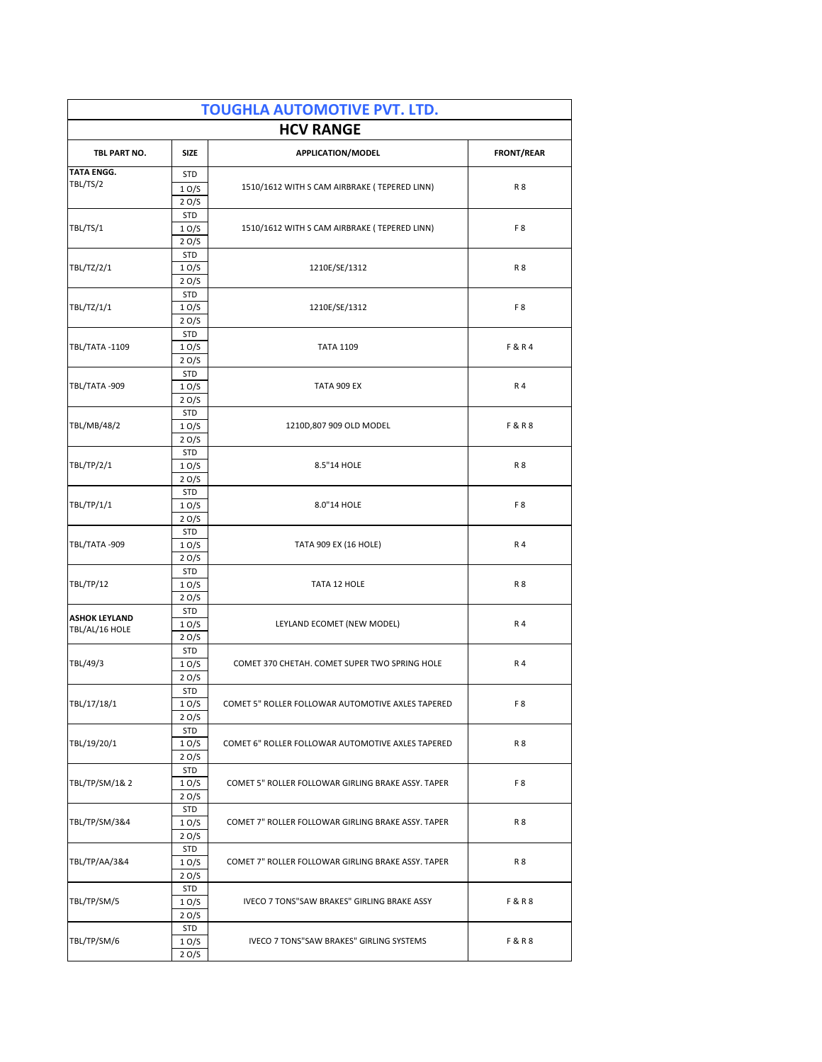| <b>TOUGHLA AUTOMOTIVE PVT. LTD.</b><br><b>HCV RANGE</b>                                  |                    |                                                    |                   |  |
|------------------------------------------------------------------------------------------|--------------------|----------------------------------------------------|-------------------|--|
| TBL PART NO.                                                                             | <b>SIZE</b>        | APPLICATION/MODEL                                  | <b>FRONT/REAR</b> |  |
| <b>TATA ENGG.</b>                                                                        | <b>STD</b>         |                                                    |                   |  |
| TBL/TS/2                                                                                 | 10/S               | 1510/1612 WITH S CAM AIRBRAKE (TEPERED LINN)       | <b>R8</b>         |  |
|                                                                                          | 20/S               |                                                    |                   |  |
|                                                                                          | <b>STD</b>         |                                                    |                   |  |
| TBL/TS/1                                                                                 | 10/S               | 1510/1612 WITH S CAM AIRBRAKE (TEPERED LINN)       | F <sub>8</sub>    |  |
|                                                                                          | 2O/S<br><b>STD</b> |                                                    |                   |  |
| TBL/TZ/2/1<br>10/S<br>20/S                                                               | 1210E/SE/1312      | <b>R8</b>                                          |                   |  |
|                                                                                          |                    |                                                    |                   |  |
| TBL/TZ/1/1                                                                               | <b>STD</b>         | 1210E/SE/1312                                      | F <sub>8</sub>    |  |
|                                                                                          | 10/S               |                                                    |                   |  |
|                                                                                          | 20/S               |                                                    |                   |  |
|                                                                                          | STD                | <b>TATA 1109</b>                                   | F&R4              |  |
| TBL/TATA-1109                                                                            | 10/S<br>2O/S       |                                                    |                   |  |
|                                                                                          | <b>STD</b>         |                                                    |                   |  |
| TBL/TATA-909                                                                             | 10/S               | TATA 909 EX                                        | R 4               |  |
|                                                                                          | 20/S               |                                                    |                   |  |
|                                                                                          | STD                |                                                    | <b>F&amp;R8</b>   |  |
| TBL/MB/48/2                                                                              | 10/S               | 1210D,807 909 OLD MODEL                            |                   |  |
|                                                                                          | 20/S               |                                                    |                   |  |
|                                                                                          | <b>STD</b>         |                                                    |                   |  |
| TBL/TP/2/1                                                                               | 10/S               | 8.5"14 HOLE                                        | <b>R8</b>         |  |
|                                                                                          | 20/S<br><b>STD</b> |                                                    |                   |  |
| TBL/TP/1/1                                                                               | 10/S               | 8.0"14 HOLE                                        | F8                |  |
|                                                                                          | 20/S               |                                                    |                   |  |
|                                                                                          | STD                |                                                    | R 4               |  |
| TBL/TATA-909                                                                             | 10/S               | TATA 909 EX (16 HOLE)                              |                   |  |
|                                                                                          | 20/S               |                                                    |                   |  |
|                                                                                          | STD                | TATA 12 HOLE                                       | <b>R8</b>         |  |
| TBL/TP/12                                                                                | 10/S               |                                                    |                   |  |
| <b>ASHOK LEYLAND</b><br>TBL/AL/16 HOLE                                                   | 20/S<br><b>STD</b> | LEYLAND ECOMET (NEW MODEL)                         | R 4               |  |
|                                                                                          | 10/S               |                                                    |                   |  |
|                                                                                          | 20/S               |                                                    |                   |  |
| TBL/49/3                                                                                 | <b>STD</b>         | COMET 370 CHETAH. COMET SUPER TWO SPRING HOLE      | R 4               |  |
|                                                                                          | 10/S               |                                                    |                   |  |
|                                                                                          | 20/S               |                                                    |                   |  |
| STD<br>TBL/17/18/1<br>COMET 5" ROLLER FOLLOWAR AUTOMOTIVE AXLES TAPERED<br>1 O/S<br>20/S |                    |                                                    |                   |  |
|                                                                                          |                    |                                                    | F8                |  |
|                                                                                          | <b>STD</b>         |                                                    |                   |  |
| TBL/19/20/1                                                                              | 10/S               | COMET 6" ROLLER FOLLOWAR AUTOMOTIVE AXLES TAPERED  | R <sub>8</sub>    |  |
|                                                                                          | 20/S               |                                                    |                   |  |
| TBL/TP/SM/1&2                                                                            | STD                | COMET 5" ROLLER FOLLOWAR GIRLING BRAKE ASSY. TAPER | F <sub>8</sub>    |  |
|                                                                                          | 10/S               |                                                    |                   |  |
|                                                                                          | 2 O/S              |                                                    |                   |  |
| TBL/TP/SM/3&4                                                                            | STD                | COMET 7" ROLLER FOLLOWAR GIRLING BRAKE ASSY. TAPER |                   |  |
|                                                                                          | 1 O/S<br>20/S      |                                                    | R <sub>8</sub>    |  |
|                                                                                          | <b>STD</b>         | COMET 7" ROLLER FOLLOWAR GIRLING BRAKE ASSY. TAPER |                   |  |
| TBL/TP/AA/3&4                                                                            | 10/S               |                                                    | R 8               |  |
|                                                                                          | 2O/S               |                                                    |                   |  |
| TBL/TP/SM/5                                                                              | <b>STD</b>         | IVECO 7 TONS"SAW BRAKES" GIRLING BRAKE ASSY        |                   |  |
|                                                                                          | 1 O/S              |                                                    | <b>F&amp;R8</b>   |  |
|                                                                                          | 2O/S               |                                                    |                   |  |
|                                                                                          | STD                | <b>F&amp;R8</b>                                    |                   |  |
| TBL/TP/SM/6                                                                              | 1 O/S<br>20/S      | IVECO 7 TONS"SAW BRAKES" GIRLING SYSTEMS           |                   |  |